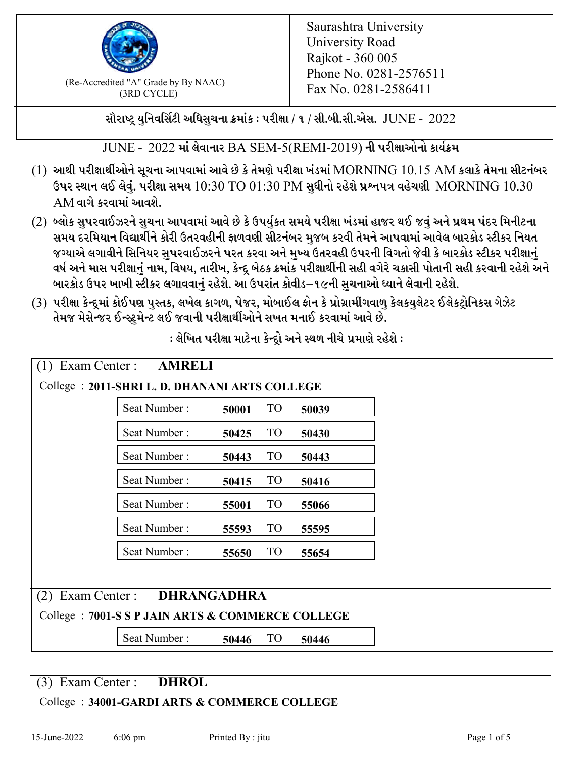

 $F_{\text{R}}$  (Re-Accredited "A" Grade by By NAAC)<br>(3PD CVCLE)<br> $F_{\text{R}}$  No. 0281-2586411 (3RD CYCLE)

સૌરાષ્ટ્ર યુનિવર્સિટી અધિસુચના ક્રમાંક : પરીક્ષા / ૧ / સી.બી.સી.એસ.  $\,$  JUNE -  $\,2022$ 

 $JUNE - 2022$  માં લેવાનાર BA SEM-5(REMI-2019) ની પરીક્ષાઓનો કાર્યક્રમ

- $(1)$  આથી પરીક્ષાર્થીઓને સૂચના આપવામાં આવે છે કે તેમણે પરીક્ષા ખંડમાં  $\operatorname{MORNING}$   $10.15$   $\operatorname{AM}$  કલાકે તેમના સીટનંબર ઉપર સ્થાન લઈ લેવું. પરીક્ષા સમય  $10:30 \text{ TO } 01:30 \text{ PM}$  સુધીનો રહેશે પ્રશ્નપત્ર વહેચણી  $\rm{MORMING}$   $10.30$  $AM$ વાગે કરવામાં આવશે.
- (2) બ્લોક સુપરવાઈઝરને સુચના આપવામાં આવે છે કે ઉપર્યુકત સમયે પરીક્ષા ખંડમાં હાજર થઈ જવું અને પ્રથમ પંદર મિનીટના સમય દરમિયાન વિદ્યાર્થીને કોરી ઉતરવહીની ફાળવણી સીટનંબર મજબ કરવી તેમને આપવામાં આવેલ બારકોડ સ્ટીકર નિયત જગ્યાએ લગાવીને સિનિયર સુપરવાઈઝરને પરત કરવા અને મુખ્ય ઉતરવહી ઉપરની વિગતો જેવી કે બારકોડ સ્ટીકર પરીક્ષ<u>ાન</u>ં વર્ષ અને માસ પરીક્ષાનું નામ, વિષય, તારીખ, કેન્દ્ર બેઠક ક્રમાંક પરીક્ષાર્થીની સહી વગેરે ચકાસી પોતાની સહી કરવાની રહેશે અને બારકોડ ઉપર ખાખી સ્ટીકર લગાવવાનં રહેશે. આ ઉપરાંત કોવીડ–૧૯ની સચનાઓ ધ્યાને લેવાની રહેશે.
- (3) પરીક્ષા કેન્દ્રમાં કોઈપણ પુસ્તક, લખેલ કાગળ, પેજર, મોબાઈલ ફોન કે પ્રોગ્રામીંગવાળુ કેલકયુલેટર ઈલેકટ્રોનિકસ ગેઝેટ તેમજ મેસેન્જર ઈન્સ્ટમેન્ટ લઈ જવાની પરીક્ષાર્થીઓને સખત મનાઈ કરવામાં આવે છે.

|                                                   | <b>AMRELI</b><br>Exam Center :                 |       |           |       |  |  |
|---------------------------------------------------|------------------------------------------------|-------|-----------|-------|--|--|
|                                                   | College : 2011-SHRI L. D. DHANANI ARTS COLLEGE |       |           |       |  |  |
|                                                   | Seat Number:                                   | 50001 | <b>TO</b> | 50039 |  |  |
|                                                   | Seat Number:                                   | 50425 | <b>TO</b> | 50430 |  |  |
|                                                   | Seat Number:                                   | 50443 | <b>TO</b> | 50443 |  |  |
|                                                   | Seat Number:                                   | 50415 | <b>TO</b> | 50416 |  |  |
|                                                   | Seat Number:                                   | 55001 | <b>TO</b> | 55066 |  |  |
|                                                   | Seat Number:                                   | 55593 | <b>TO</b> | 55595 |  |  |
|                                                   | Seat Number:                                   | 55650 | <b>TO</b> | 55654 |  |  |
|                                                   |                                                |       |           |       |  |  |
| (2)                                               | <b>DHRANGADHRA</b><br>Exam Center :            |       |           |       |  |  |
| College : 7001-S S P JAIN ARTS & COMMERCE COLLEGE |                                                |       |           |       |  |  |
|                                                   | Seat Number:                                   | 50446 | <b>TO</b> | 50446 |  |  |

: લેખિત પરીક્ષા માટેના કેન્દ્રો અને સ્થળ નીચે પ્રમાણે રહેશે :

(3) Exam Center : **DHROL**

College : **34001-GARDI ARTS & COMMERCE COLLEGE**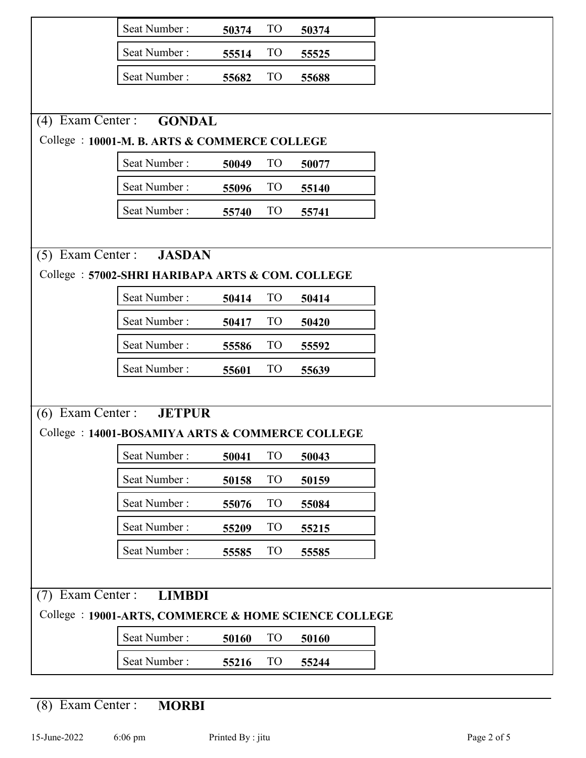|                                      | Seat Number:                                         | 50374 | <b>TO</b>       | 50374 |  |
|--------------------------------------|------------------------------------------------------|-------|-----------------|-------|--|
|                                      | Seat Number:                                         | 55514 | <b>TO</b>       | 55525 |  |
|                                      | Seat Number:                                         | 55682 | <b>TO</b>       | 55688 |  |
|                                      |                                                      |       |                 |       |  |
| Exam Center :<br>(4)                 | <b>GONDAL</b>                                        |       |                 |       |  |
|                                      | College: 10001-M. B. ARTS & COMMERCE COLLEGE         |       |                 |       |  |
|                                      | Seat Number:                                         | 50049 | <b>TO</b>       | 50077 |  |
|                                      | Seat Number:                                         | 55096 | <b>TO</b>       | 55140 |  |
|                                      | Seat Number:                                         | 55740 | <b>TO</b>       | 55741 |  |
|                                      |                                                      |       |                 |       |  |
|                                      | (5) Exam Center : <b>JASDAN</b>                      |       |                 |       |  |
|                                      | College: 57002-SHRI HARIBAPA ARTS & COM. COLLEGE     |       |                 |       |  |
|                                      | Seat Number:                                         | 50414 | TO <sub>1</sub> | 50414 |  |
|                                      | Seat Number:                                         | 50417 | <b>TO</b>       | 50420 |  |
|                                      | Seat Number:                                         | 55586 | T <sub>O</sub>  | 55592 |  |
|                                      | Seat Number:                                         | 55601 | <b>TO</b>       | 55639 |  |
|                                      |                                                      |       |                 |       |  |
| $(6)$ Exam Center:                   | <b>JETPUR</b>                                        |       |                 |       |  |
|                                      | College: 14001-BOSAMIYA ARTS & COMMERCE COLLEGE      |       |                 |       |  |
|                                      | Seat Number:                                         | 50041 | <b>TO</b>       | 50043 |  |
|                                      | Seat Number:                                         | 50158 | TO <sub>1</sub> | 50159 |  |
|                                      | Seat Number:                                         | 55076 | TO <sub>1</sub> | 55084 |  |
|                                      | Seat Number:                                         | 55209 | T <sub>O</sub>  | 55215 |  |
|                                      | Seat Number:                                         | 55585 | <b>TO</b>       | 55585 |  |
|                                      |                                                      |       |                 |       |  |
| Exam Center:<br>(7)<br><b>LIMBDI</b> |                                                      |       |                 |       |  |
|                                      | College: 19001-ARTS, COMMERCE & HOME SCIENCE COLLEGE |       |                 |       |  |
|                                      | Seat Number:                                         | 50160 | T <sub>O</sub>  | 50160 |  |
|                                      | Seat Number:                                         | 55216 | TO <sub>1</sub> | 55244 |  |

(8) Exam Center : **MORBI**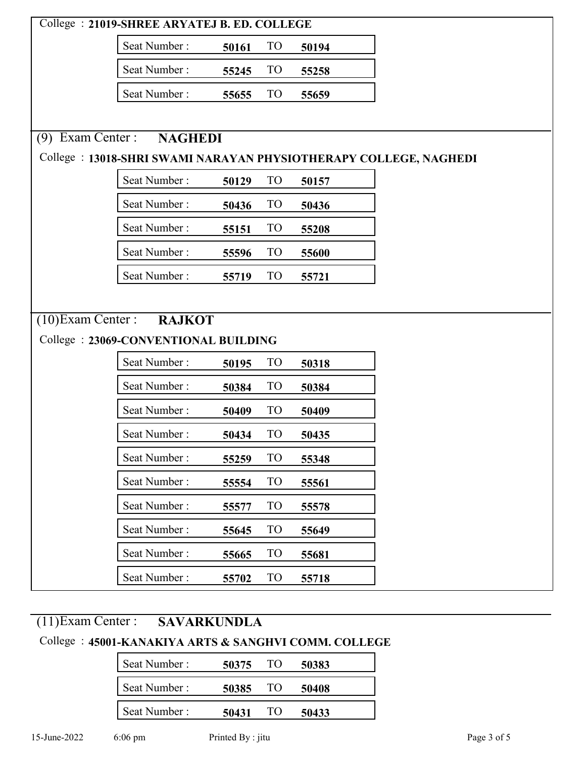| College: 21019-SHREE ARYATEJ B. ED. COLLEGE                       |                |       |                 |       |
|-------------------------------------------------------------------|----------------|-------|-----------------|-------|
|                                                                   | Seat Number:   | 50161 | T <sub>O</sub>  | 50194 |
|                                                                   | Seat Number:   | 55245 | <b>TO</b>       | 55258 |
|                                                                   | Seat Number:   | 55655 | <b>TO</b>       | 55659 |
|                                                                   |                |       |                 |       |
| $(9)$ Exam Center :                                               | <b>NAGHEDI</b> |       |                 |       |
| College : 13018-SHRI SWAMI NARAYAN PHYSIOTHERAPY COLLEGE, NAGHEDI |                |       |                 |       |
|                                                                   | Seat Number:   | 50129 | TO <sub>1</sub> | 50157 |
|                                                                   | Seat Number:   | 50436 | T <sub>O</sub>  | 50436 |
|                                                                   | Seat Number:   | 55151 | T <sub>O</sub>  | 55208 |
|                                                                   | Seat Number:   | 55596 | TO <sub>1</sub> | 55600 |
|                                                                   | Seat Number:   | 55719 | <b>TO</b>       | 55721 |
|                                                                   |                |       |                 |       |
| (10) Exam Center : RAJKOT                                         |                |       |                 |       |
| College: 23069-CONVENTIONAL BUILDING                              |                |       |                 |       |
|                                                                   | Seat Number:   | 50195 | <b>TO</b>       | 50318 |
|                                                                   | Seat Number:   | 50384 | <b>TO</b>       | 50384 |
|                                                                   | Seat Number:   | 50409 | T <sub>O</sub>  | 50409 |
|                                                                   | Seat Number:   | 50434 | <b>TO</b>       | 50435 |
|                                                                   | Seat Number:   | 55259 | TO <sub>1</sub> | 55348 |
|                                                                   | Seat Number:   | 55554 | <b>TO</b>       | 55561 |
|                                                                   | Seat Number:   | 55577 | <b>TO</b>       | 55578 |
|                                                                   | Seat Number:   | 55645 | T <sub>O</sub>  | 55649 |
|                                                                   | Seat Number:   | 55665 | <b>TO</b>       | 55681 |
|                                                                   | Seat Number:   | 55702 | TO <sub>1</sub> | 55718 |

# (11)Exam Center : **SAVARKUNDLA**

### College : **45001-KANAKIYA ARTS & SANGHVI COMM. COLLEGE**

| Seat Number: | 50375 | TO  | 50383 |
|--------------|-------|-----|-------|
| Seat Number: | 50385 | TO) | 50408 |
| Seat Number: | 50431 | то  | 50433 |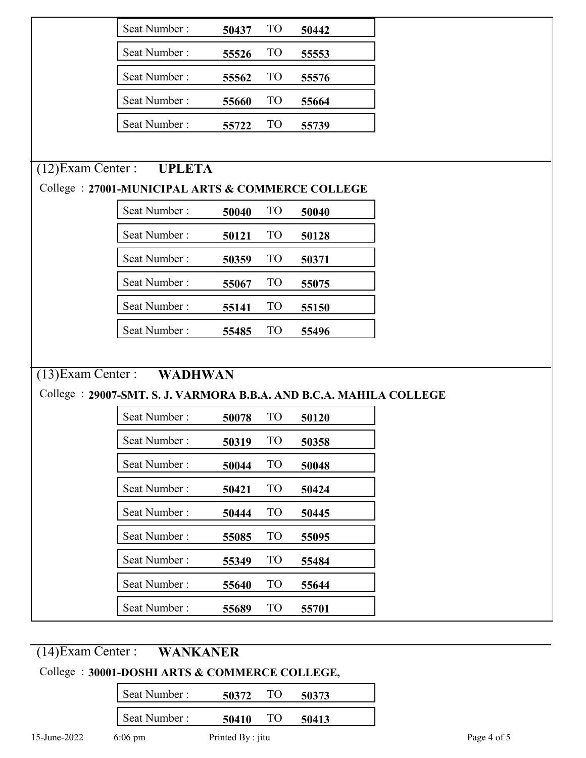|                      | Seat Number:                                                        | 50437 | TO              | 50442 |  |
|----------------------|---------------------------------------------------------------------|-------|-----------------|-------|--|
|                      | Seat Number:                                                        | 55526 | TO <sub>1</sub> | 55553 |  |
|                      | Seat Number:                                                        | 55562 | TO <sub>1</sub> | 55576 |  |
|                      | Seat Number:                                                        | 55660 | TO <sub>1</sub> | 55664 |  |
|                      | Seat Number:                                                        | 55722 | <b>TO</b>       | 55739 |  |
|                      |                                                                     |       |                 |       |  |
| $(12)$ Exam Center : | <b>UPLETA</b>                                                       |       |                 |       |  |
|                      | College : 27001-MUNICIPAL ARTS & COMMERCE COLLEGE                   |       |                 |       |  |
|                      | Seat Number:                                                        | 50040 | TO <sub>1</sub> | 50040 |  |
|                      | Seat Number:                                                        | 50121 | TO              | 50128 |  |
|                      | Seat Number:                                                        | 50359 | TO <sub>1</sub> | 50371 |  |
|                      | Seat Number:                                                        | 55067 | <b>TO</b>       | 55075 |  |
|                      | Seat Number:                                                        | 55141 | TO <sub>1</sub> | 55150 |  |
|                      | Seat Number:                                                        | 55485 | <b>TO</b>       | 55496 |  |
|                      |                                                                     |       |                 |       |  |
|                      | (13) Exam Center : WADHWAN                                          |       |                 |       |  |
|                      | College : 29007-SMT. S. J. VARMORA B.B.A. AND B.C.A. MAHILA COLLEGE |       |                 |       |  |
|                      | Seat Number:                                                        | 50078 | <b>TO</b>       | 50120 |  |
|                      | Seat Number:                                                        | 50319 | <b>TO</b>       | 50358 |  |
|                      | Seat Number:                                                        | 50044 | <b>TO</b>       | 50048 |  |
|                      | Seat Number:                                                        | 50421 | TO <sub>1</sub> | 50424 |  |
|                      | Seat Number:                                                        | 50444 | TO <sub>1</sub> | 50445 |  |
|                      | Seat Number:                                                        | 55085 | <b>TO</b>       | 55095 |  |
|                      | Seat Number:                                                        | 55349 | <b>TO</b>       | 55484 |  |
|                      | Seat Number:                                                        | 55640 | <b>TO</b>       | 55644 |  |
|                      | Seat Number:                                                        | 55689 | TO <sub>1</sub> | 55701 |  |

## (14)Exam Center : **WANKANER**

### College : **30001-DOSHI ARTS & COMMERCE COLLEGE,**

|              | Seat Number:      | TO<br>50372       | 50373 |
|--------------|-------------------|-------------------|-------|
|              | Seat Number:      | TO<br>50410       | 50413 |
| 15-June-2022 | $6:06 \text{ pm}$ | Printed By : jitu |       |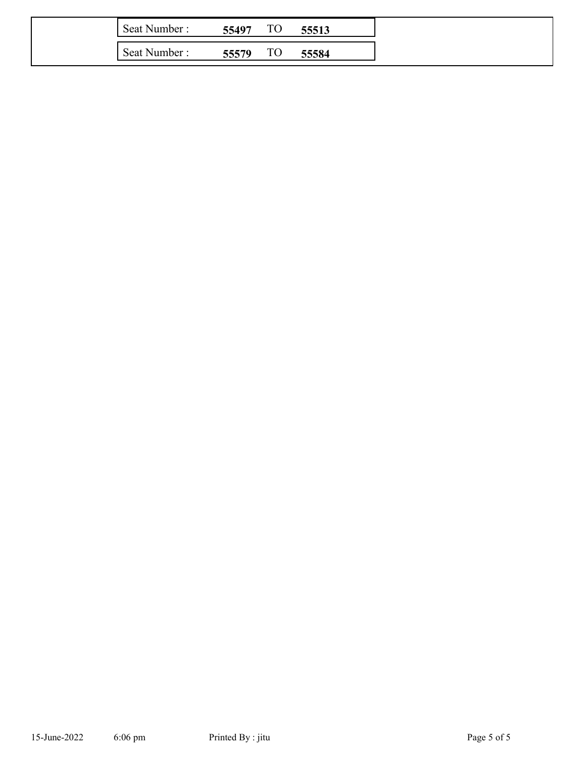| Seat Number: | 55497 | TЛ<br>$1\cup$       | 55513 |
|--------------|-------|---------------------|-------|
| Seat Number: | 55579 | ጥ $\cap$<br>$1\cup$ | 55584 |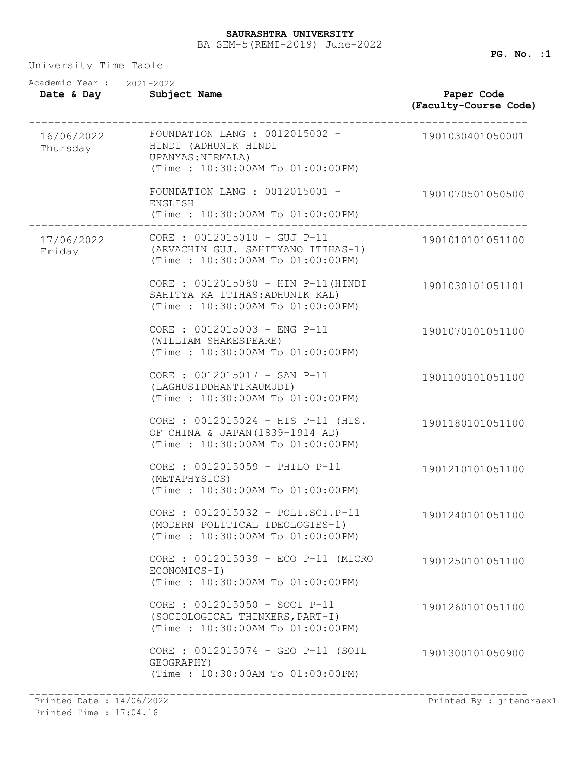### BA SEM-5(REMI-2019) June-2022 **SAURASHTRA UNIVERSITY**

University Time Table

| Academic Year: 2021-2022<br>Date & Day | Subject Name                                                                                                                | Paper Code<br>(Faculty-Course Code) |
|----------------------------------------|-----------------------------------------------------------------------------------------------------------------------------|-------------------------------------|
| Thursday                               | 16/06/2022  FOUNDATION LANG : 0012015002 -<br>HINDI (ADHUNIK HINDI<br>UPANYAS: NIRMALA)<br>(Time: 10:30:00AM To 01:00:00PM) | 1901030401050001                    |
|                                        | FOUNDATION LANG : $0012015001 -$<br>ENGLISH<br>(Time: 10:30:00AM To 01:00:00PM)                                             | 1901070501050500                    |
| 17/06/2022<br>Friday                   | CORE : 0012015010 - GUJ P-11<br>(ARVACHIN GUJ. SAHITYANO ITIHAS-1)<br>(Time: 10:30:00AM To 01:00:00PM)                      | 1901010101051100                    |
|                                        | CORE : 0012015080 - HIN P-11 (HINDI<br>SAHITYA KA ITIHAS: ADHUNIK KAL)<br>(Time: 10:30:00AM To 01:00:00PM)                  | 1901030101051101                    |
|                                        | CORE : 0012015003 - ENG P-11<br>(WILLIAM SHAKESPEARE)<br>(Time: 10:30:00AM To 01:00:00PM)                                   | 1901070101051100                    |
|                                        | CORE : 0012015017 - SAN P-11<br>(LAGHUSIDDHANTIKAUMUDI)<br>(Time: 10:30:00AM To 01:00:00PM)                                 | 1901100101051100                    |
|                                        | CORE : 0012015024 - HIS P-11 (HIS.<br>OF CHINA & JAPAN (1839-1914 AD)<br>(Time: 10:30:00AM To 01:00:00PM)                   | 1901180101051100                    |
|                                        | CORE : 0012015059 - PHILO P-11<br>(METAPHYSICS)<br>(Time: 10:30:00AM To 01:00:00PM)                                         | 1901210101051100                    |
|                                        | CORE : 0012015032 - POLI.SCI.P-11<br>(MODERN POLITICAL IDEOLOGIES-1)<br>(Time: 10:30:00AM To 01:00:00PM)                    | 1901240101051100                    |
|                                        | CORE : 0012015039 - ECO P-11 (MICRO<br>ECONOMICS-I)<br>(Time: 10:30:00AM To 01:00:00PM)                                     | 1901250101051100                    |
|                                        | CORE : 0012015050 - SOCI P-11<br>(SOCIOLOGICAL THINKERS, PART-I)<br>(Time: 10:30:00AM To 01:00:00PM)                        | 1901260101051100                    |
|                                        | CORE : 0012015074 - GEO P-11 (SOIL<br>GEOGRAPHY)<br>(Time: 10:30:00AM To 01:00:00PM)                                        | 1901300101050900                    |

------------------------------------------------------------------------------ Printed Date : 14/06/2022 Printed By : jitendraex1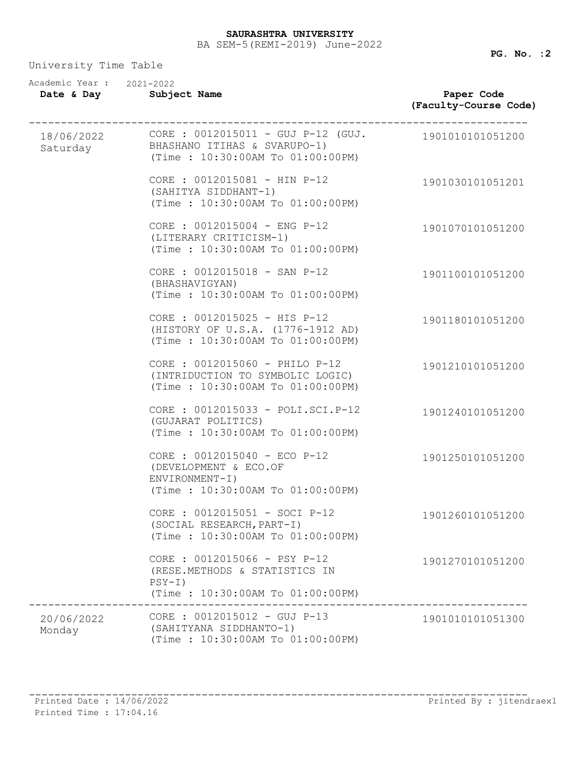| Academic Year: 2021-2022<br>Date & Day | Subject Name                                                                                                  | Paper Code<br>(Faculty-Course Code) |
|----------------------------------------|---------------------------------------------------------------------------------------------------------------|-------------------------------------|
| 18/06/2022<br>Saturday                 | $CORE : 0012015011 - GUJ P-12 (GUJ.$<br>BHASHANO ITIHAS & SVARUPO-1)<br>(Time: 10:30:00AM To 01:00:00PM)      | 1901010101051200                    |
|                                        | CORE : 0012015081 - HIN P-12<br>(SAHITYA SIDDHANT-1)<br>(Time: 10:30:00AM To 01:00:00PM)                      | 1901030101051201                    |
|                                        | CORE : 0012015004 - ENG P-12<br>(LITERARY CRITICISM-1)<br>(Time: 10:30:00AM To 01:00:00PM)                    | 1901070101051200                    |
|                                        | CORE : 0012015018 - SAN P-12<br>(BHASHAVIGYAN)<br>(Time : 10:30:00AM To 01:00:00PM)                           | 1901100101051200                    |
|                                        | CORE : 0012015025 - HIS P-12<br>(HISTORY OF U.S.A. (1776-1912 AD)<br>(Time: 10:30:00AM To 01:00:00PM)         | 1901180101051200                    |
|                                        | CORE : 0012015060 - PHILO P-12<br>(INTRIDUCTION TO SYMBOLIC LOGIC)<br>(Time: 10:30:00AM To 01:00:00PM)        | 1901210101051200                    |
|                                        | CORE : 0012015033 - POLI.SCI.P-12<br>(GUJARAT POLITICS)<br>(Time : 10:30:00AM To 01:00:00PM)                  | 1901240101051200                    |
|                                        | CORE : 0012015040 - ECO P-12<br>(DEVELOPMENT & ECO.OF<br>ENVIRONMENT-I)<br>(Time: 10:30:00AM To 01:00:00PM)   | 1901250101051200                    |
|                                        | CORE : 0012015051 - SOCI P-12<br>(SOCIAL RESEARCH, PART-I)<br>(Time: 10:30:00AM To 01:00:00PM)                | 1901260101051200                    |
|                                        | CORE : 0012015066 - PSY P-12<br>(RESE.METHODS & STATISTICS IN<br>$PSY-I)$<br>(Time: 10:30:00AM To 01:00:00PM) | 1901270101051200                    |
| 20/06/2022<br>Monday                   | $CORE : 0012015012 - GUJ P-13$<br>(SAHITYANA SIDDHANTO-1)<br>(Time : 10:30:00AM To 01:00:00PM)                | 1901010101051300                    |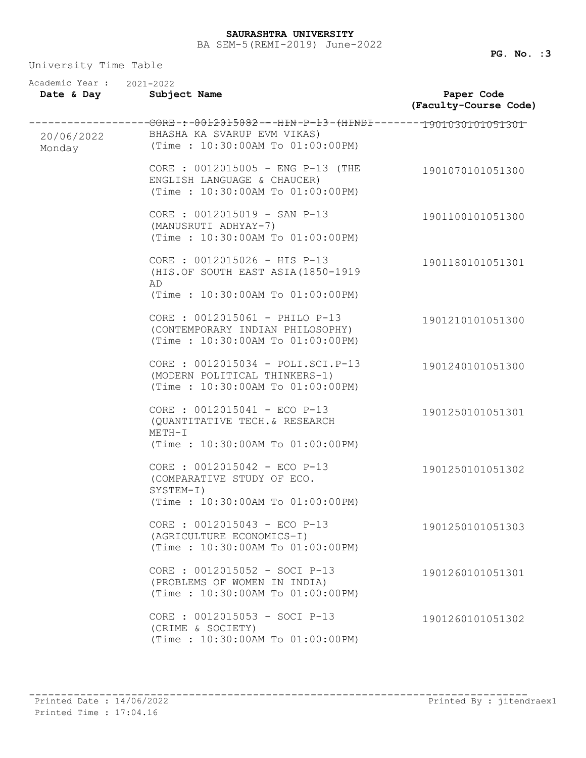| Academic Year : 2021-2022<br>Date & Day | Subject Name                                                                                                                                  | Paper Code<br>(Faculty-Course Code) |
|-----------------------------------------|-----------------------------------------------------------------------------------------------------------------------------------------------|-------------------------------------|
| 20/06/2022<br>Monday                    | -----------GORE-:-0012015082---HIN-P-13-(HINDI-------1901030101051301<br>BHASHA KA SVARUP EVM VIKAS)<br>(Time: $10:30:00AM$ To $01:00:00PM$ ) |                                     |
|                                         | CORE : 0012015005 - ENG P-13 (THE<br>ENGLISH LANGUAGE & CHAUCER)<br>(Time: 10:30:00AM To 01:00:00PM)                                          | 1901070101051300                    |
|                                         | CORE : 0012015019 - SAN P-13<br>(MANUSRUTI ADHYAY-7)<br>(Time: 10:30:00AM To 01:00:00PM)                                                      | 1901100101051300                    |
|                                         | CORE : 0012015026 - HIS P-13<br>(HIS.OF SOUTH EAST ASIA(1850-1919<br>AD<br>(Time: 10:30:00AM To 01:00:00PM)                                   | 1901180101051301                    |
|                                         | CORE : 0012015061 - PHILO P-13<br>(CONTEMPORARY INDIAN PHILOSOPHY)<br>(Time: 10:30:00AM To 01:00:00PM)                                        | 1901210101051300                    |
|                                         | CORE : 0012015034 - POLI.SCI.P-13<br>(MODERN POLITICAL THINKERS-1)<br>(Time: 10:30:00AM To 01:00:00PM)                                        | 1901240101051300                    |
|                                         | CORE : $0012015041 - ECO P-13$<br>(QUANTITATIVE TECH. & RESEARCH<br>$METH-I$<br>(Time: 10:30:00AM To 01:00:00PM)                              | 1901250101051301                    |
|                                         | CORE : 0012015042 - ECO P-13<br>(COMPARATIVE STUDY OF ECO.<br>SYSTEM-I)<br>(Time: 10:30:00AM To 01:00:00PM)                                   | 1901250101051302                    |
|                                         | CORE : $0012015043 - ECO P-13$<br>(AGRICULTURE ECONOMICS-I)<br>(Time: 10:30:00AM To 01:00:00PM)                                               | 1901250101051303                    |
|                                         | CORE : 0012015052 - SOCI P-13<br>(PROBLEMS OF WOMEN IN INDIA)<br>(Time: 10:30:00AM To 01:00:00PM)                                             | 1901260101051301                    |
|                                         | CORE : 0012015053 - SOCI P-13<br>(CRIME & SOCIETY)<br>(Time: 10:30:00AM To 01:00:00PM)                                                        | 1901260101051302                    |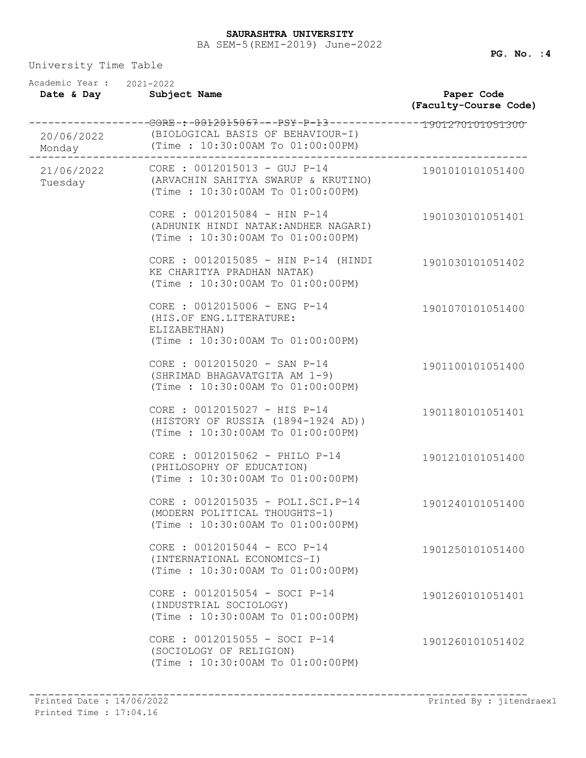| Academic Year: 2021-2022<br>Date & Day | Subject Name                                                                                                                                                     | Paper Code<br>(Faculty-Course Code) |
|----------------------------------------|------------------------------------------------------------------------------------------------------------------------------------------------------------------|-------------------------------------|
| Monday                                 | -----------------GORE-:-0012015067---PSY-P-13--------------1901270101051300<br>20/06/2022 (BIOLOGICAL BASIS OF BEHAVIOUR-I)<br>(Time : 10:30:00AM To 01:00:00PM) |                                     |
| 21/06/2022<br>Tuesday                  | CORE : 0012015013 - GUJ P-14<br>(ARVACHIN SAHITYA SWARUP & KRUTINO)<br>(Time: 10:30:00AM To 01:00:00PM)                                                          | 1901010101051400                    |
|                                        | CORE : 0012015084 - HIN P-14<br>(ADHUNIK HINDI NATAK: ANDHER NAGARI)<br>(Time: 10:30:00AM To 01:00:00PM)                                                         | 1901030101051401                    |
|                                        | CORE : 0012015085 - HIN P-14 (HINDI<br>KE CHARITYA PRADHAN NATAK)<br>(Time: 10:30:00AM To 01:00:00PM)                                                            | 1901030101051402                    |
|                                        | CORE : 0012015006 - ENG P-14<br>(HIS.OF ENG.LITERATURE:<br>ELIZABETHAN)<br>(Time: 10:30:00AM To 01:00:00PM)                                                      | 1901070101051400                    |
|                                        | CORE : 0012015020 - SAN P-14<br>(SHRIMAD BHAGAVATGITA AM 1-9)<br>(Time: 10:30:00AM To 01:00:00PM)                                                                | 1901100101051400                    |
|                                        | CORE : 0012015027 - HIS P-14<br>(HISTORY OF RUSSIA (1894-1924 AD))<br>(Time: 10:30:00AM To 01:00:00PM)                                                           | 1901180101051401                    |
|                                        | CORE : 0012015062 - PHILO P-14<br>(PHILOSOPHY OF EDUCATION)<br>(Time: 10:30:00AM To 01:00:00PM)                                                                  | 1901210101051400                    |
|                                        | CORE : 0012015035 - POLI.SCI.P-14<br>(MODERN POLITICAL THOUGHTS-1)<br>(Time: 10:30:00AM To 01:00:00PM)                                                           | 1901240101051400                    |
|                                        | CORE : 0012015044 - ECO P-14<br>(INTERNATIONAL ECONOMICS-I)<br>(Time: 10:30:00AM To 01:00:00PM)                                                                  | 1901250101051400                    |
|                                        | CORE : 0012015054 - SOCI P-14<br>(INDUSTRIAL SOCIOLOGY)<br>(Time: 10:30:00AM To 01:00:00PM)                                                                      | 1901260101051401                    |
|                                        | CORE : 0012015055 - SOCI P-14<br>(SOCIOLOGY OF RELIGION)<br>(Time: 10:30:00AM To 01:00:00PM)                                                                     | 1901260101051402                    |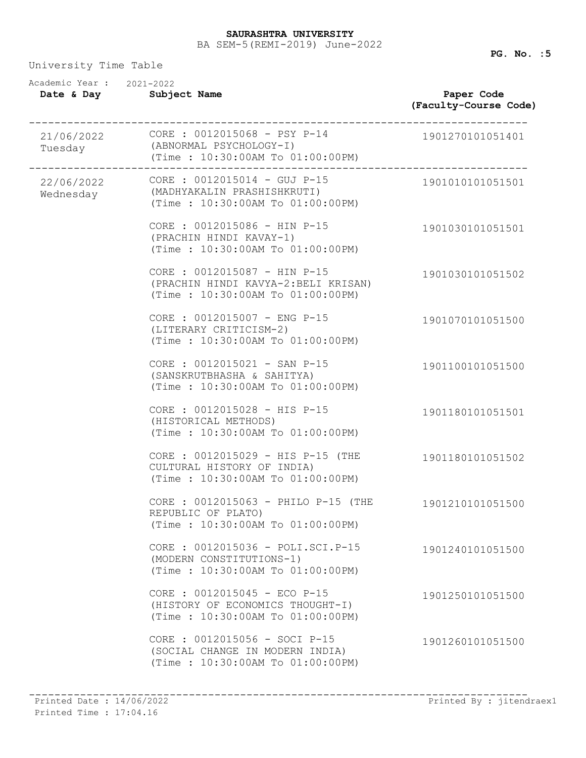### BA SEM-5(REMI-2019) June-2022 **SAURASHTRA UNIVERSITY**

| Academic Year: 2021-2022<br>Date & Day | Subject Name                                                                                                   | Paper Code<br>(Faculty-Course Code) |
|----------------------------------------|----------------------------------------------------------------------------------------------------------------|-------------------------------------|
| Tuesday                                | (ABNORMAL PSYCHOLOGY-I)<br>(Time: 10:30:00AM To 01:00:00PM)                                                    | 1901270101051401                    |
| Wednesday                              | $22/06/2022$ CORE : $0012015014 - GUJ P-15$<br>(MADHYAKALIN PRASHISHKRUTI)<br>(Time: 10:30:00AM To 01:00:00PM) | 1901010101051501                    |
|                                        | CORE : 0012015086 - HIN P-15<br>(PRACHIN HINDI KAVAY-1)<br>(Time: 10:30:00AM To 01:00:00PM)                    | 1901030101051501                    |
|                                        | CORE : 0012015087 - HIN P-15<br>(PRACHIN HINDI KAVYA-2:BELI KRISAN)<br>(Time: 10:30:00AM To 01:00:00PM)        | 1901030101051502                    |
|                                        | CORE : 0012015007 - ENG P-15<br>(LITERARY CRITICISM-2)<br>(Time: 10:30:00AM To 01:00:00PM)                     | 1901070101051500                    |
|                                        | CORE : 0012015021 - SAN P-15<br>(SANSKRUTBHASHA & SAHITYA)<br>(Time: 10:30:00AM To 01:00:00PM)                 | 1901100101051500                    |
|                                        | CORE : 0012015028 - HIS P-15<br>(HISTORICAL METHODS)<br>(Time: 10:30:00AM To 01:00:00PM)                       | 1901180101051501                    |
|                                        | CORE : 0012015029 - HIS P-15 (THE<br>CULTURAL HISTORY OF INDIA)<br>(Time: 10:30:00AM To 01:00:00PM)            | 1901180101051502                    |
|                                        | CORE : 0012015063 - PHILO P-15 (THE<br>REPUBLIC OF PLATO)<br>(Time: 10:30:00AM To 01:00:00PM)                  | 1901210101051500                    |
|                                        | CORE : 0012015036 - POLI.SCI.P-15<br>(MODERN CONSTITUTIONS-1)<br>(Time: 10:30:00AM To 01:00:00PM)              | 1901240101051500                    |
|                                        | CORE : 0012015045 - ECO P-15<br>(HISTORY OF ECONOMICS THOUGHT-I)<br>(Time: 10:30:00AM To 01:00:00PM)           | 1901250101051500                    |
|                                        | CORE : 0012015056 - SOCI P-15<br>(SOCIAL CHANGE IN MODERN INDIA)<br>(Time: 10:30:00AM To 01:00:00PM)           | 1901260101051500                    |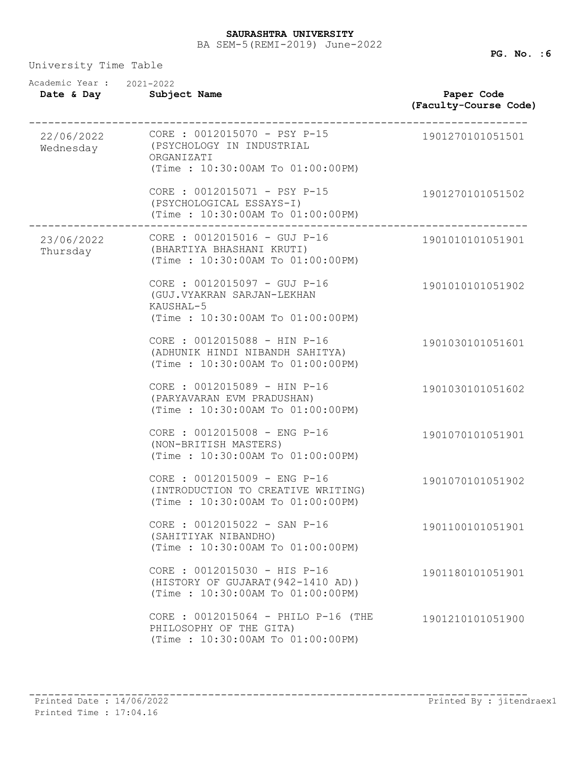### BA SEM-5(REMI-2019) June-2022 **SAURASHTRA UNIVERSITY**

| Academic Year: 2021-2022<br>Date & Day | Subject Name                                                                                                | Paper Code<br>(Faculty-Course Code) |
|----------------------------------------|-------------------------------------------------------------------------------------------------------------|-------------------------------------|
| 22/06/2022<br>Wednesday                | CORE : 0012015070 - PSY P-15<br>(PSYCHOLOGY IN INDUSTRIAL<br>ORGANIZATI<br>(Time: 10:30:00AM To 01:00:00PM) | 1901270101051501                    |
|                                        | CORE : 0012015071 - PSY P-15<br>(PSYCHOLOGICAL ESSAYS-I)<br>(Time: 10:30:00AM To 01:00:00PM)                | 1901270101051502                    |
| 23/06/2022<br>Thursday                 | $CORE : 0012015016 - GUJ P-16$<br>(BHARTIYA BHASHANI KRUTI)<br>(Time: 10:30:00AM To 01:00:00PM)             | 1901010101051901                    |
|                                        | CORE : 0012015097 - GUJ P-16<br>(GUJ.VYAKRAN SARJAN-LEKHAN<br>KAUSHAL-5<br>(Time: 10:30:00AM To 01:00:00PM) | 1901010101051902                    |
|                                        | CORE : 0012015088 - HIN P-16<br>(ADHUNIK HINDI NIBANDH SAHITYA)<br>(Time: 10:30:00AM To 01:00:00PM)         | 1901030101051601                    |
|                                        | CORE : 0012015089 - HIN P-16<br>(PARYAVARAN EVM PRADUSHAN)<br>(Time: 10:30:00AM To 01:00:00PM)              | 1901030101051602                    |
|                                        | CORE : 0012015008 - ENG P-16<br>(NON-BRITISH MASTERS)<br>(Time: 10:30:00AM To 01:00:00PM)                   | 1901070101051901                    |
|                                        | CORE : 0012015009 - ENG P-16<br>(INTRODUCTION TO CREATIVE WRITING)<br>(Time: 10:30:00AM To 01:00:00PM)      | 1901070101051902                    |
|                                        | CORE : 0012015022 - SAN P-16<br>(SAHITIYAK NIBANDHO)<br>(Time: 10:30:00AM To 01:00:00PM)                    | 1901100101051901                    |
|                                        | CORE : 0012015030 - HIS P-16<br>(HISTORY OF GUJARAT (942-1410 AD))<br>(Time: 10:30:00AM To 01:00:00PM)      | 1901180101051901                    |
|                                        | CORE : 0012015064 - PHILO P-16 (THE<br>PHILOSOPHY OF THE GITA)<br>(Time: 10:30:00AM To 01:00:00PM)          | 1901210101051900                    |